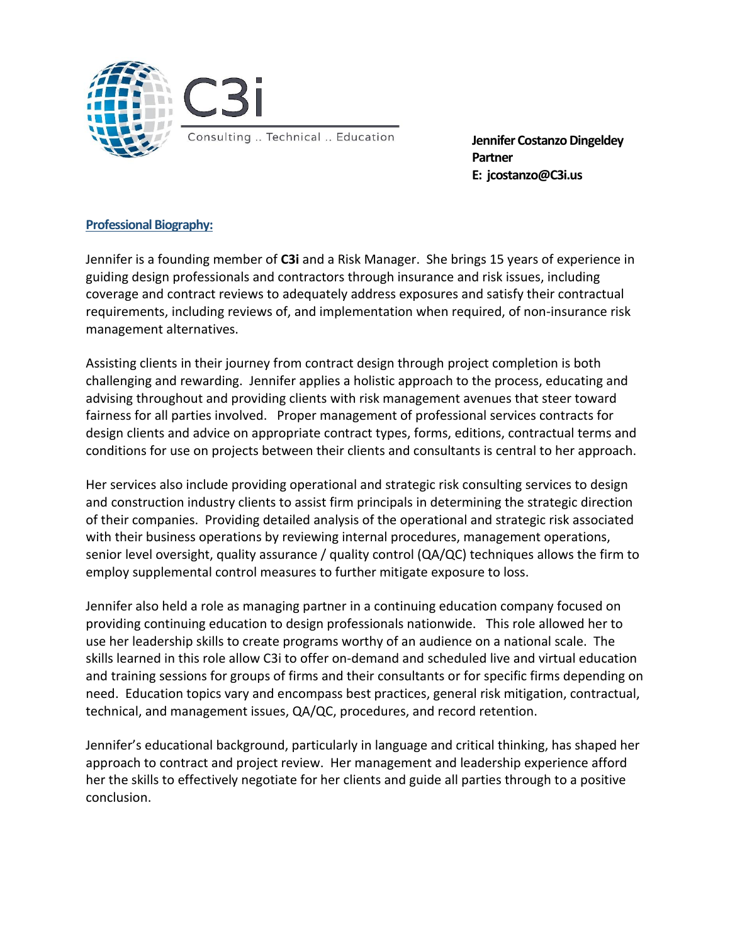

Jennifer Costanzo Dingeldey Partner E: jcostanzo@C3i.us

# Professional Biography:

Jennifer is a founding member of C3i and a Risk Manager. She brings 15 years of experience in guiding design professionals and contractors through insurance and risk issues, including coverage and contract reviews to adequately address exposures and satisfy their contractual requirements, including reviews of, and implementation when required, of non-insurance risk management alternatives.

Assisting clients in their journey from contract design through project completion is both challenging and rewarding. Jennifer applies a holistic approach to the process, educating and advising throughout and providing clients with risk management avenues that steer toward fairness for all parties involved. Proper management of professional services contracts for design clients and advice on appropriate contract types, forms, editions, contractual terms and conditions for use on projects between their clients and consultants is central to her approach.

Her services also include providing operational and strategic risk consulting services to design and construction industry clients to assist firm principals in determining the strategic direction of their companies. Providing detailed analysis of the operational and strategic risk associated with their business operations by reviewing internal procedures, management operations, senior level oversight, quality assurance / quality control (QA/QC) techniques allows the firm to employ supplemental control measures to further mitigate exposure to loss.

Jennifer also held a role as managing partner in a continuing education company focused on providing continuing education to design professionals nationwide. This role allowed her to use her leadership skills to create programs worthy of an audience on a national scale. The skills learned in this role allow C3i to offer on-demand and scheduled live and virtual education and training sessions for groups of firms and their consultants or for specific firms depending on need. Education topics vary and encompass best practices, general risk mitigation, contractual, technical, and management issues, QA/QC, procedures, and record retention.

Jennifer's educational background, particularly in language and critical thinking, has shaped her approach to contract and project review. Her management and leadership experience afford her the skills to effectively negotiate for her clients and guide all parties through to a positive conclusion.